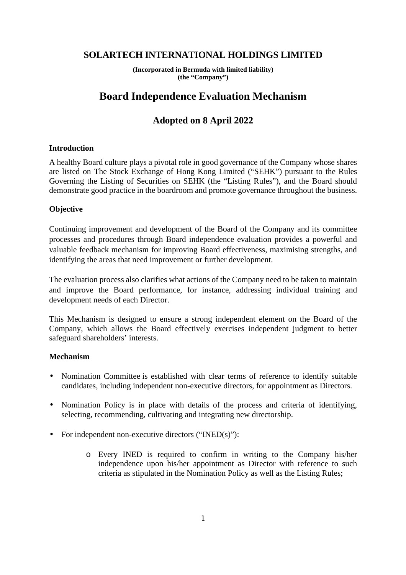### **SOLARTECH INTERNATIONAL HOLDINGS LIMITED**

**(Incorporated in Bermuda with limited liability) (the "Company")** 

# **Board Independence Evaluation Mechanism**

## **Adopted on 8 April 2022**

#### **Introduction**

A healthy Board culture plays a pivotal role in good governance of the Company whose shares are listed on The Stock Exchange of Hong Kong Limited ("SEHK") pursuant to the Rules Governing the Listing of Securities on SEHK (the "Listing Rules"), and the Board should demonstrate good practice in the boardroom and promote governance throughout the business.

#### **Objective**

Continuing improvement and development of the Board of the Company and its committee processes and procedures through Board independence evaluation provides a powerful and valuable feedback mechanism for improving Board effectiveness, maximising strengths, and identifying the areas that need improvement or further development.

The evaluation process also clarifies what actions of the Company need to be taken to maintain and improve the Board performance, for instance, addressing individual training and development needs of each Director.

This Mechanism is designed to ensure a strong independent element on the Board of the Company, which allows the Board effectively exercises independent judgment to better safeguard shareholders' interests.

#### **Mechanism**

- Nomination Committee is established with clear terms of reference to identify suitable candidates, including independent non-executive directors, for appointment as Directors.
- Nomination Policy is in place with details of the process and criteria of identifying, selecting, recommending, cultivating and integrating new directorship.
- For independent non-executive directors ("INED(s)"):
	- o Every INED is required to confirm in writing to the Company his/her independence upon his/her appointment as Director with reference to such criteria as stipulated in the Nomination Policy as well as the Listing Rules;